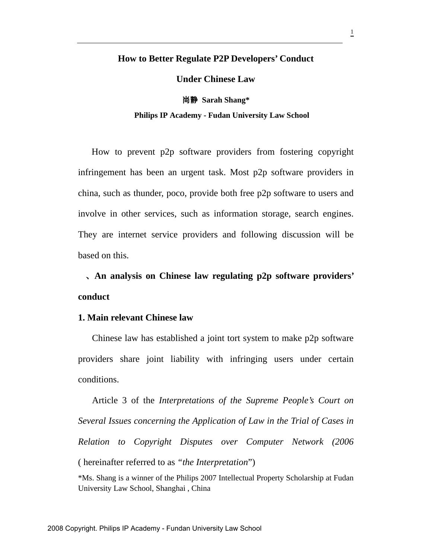## **How to Better Regulate P2P Developers' Conduct**

**Under Chinese Law** 

尚静 **Sarah Shang\* Philips IP Academy - Fudan University Law School** 

How to prevent p2p software providers from fostering copyright infringement has been an urgent task. Most p2p software providers in china, such as thunder, poco, provide both free p2p software to users and involve in other services, such as information storage, search engines. They are internet service providers and following discussion will be based on this.

、**An analysis on Chinese law regulating p2p software providers' conduct** 

## **1. Main relevant Chinese law**

Chinese law has established a joint tort system to make p2p software providers share joint liability with infringing users under certain conditions.

Article 3 of the *Interpretations of the Supreme People's Court on Several Issues concerning the Application of Law in the Trial of Cases in Relation to Copyright Disputes over Computer Network (2006*  ( hereinafter referred to as *"the Interpretation*")

\*Ms. Shang is a winner of the Philips 2007 Intellectual Property Scholarship at Fudan University Law School, Shanghai , China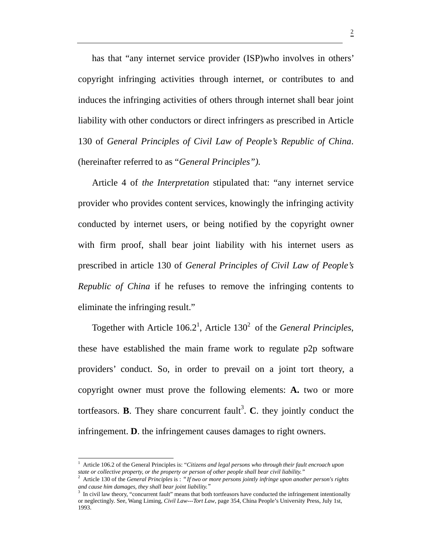has that "any internet service provider (ISP)who involves in others' copyright infringing activities through internet, or contributes to and induces the infringing activities of others through internet shall bear joint liability with other conductors or direct infringers as prescribed in Article 130 of *General Principles of Civil Law of People's Republic of China*. (hereinafter referred to as "*General Principles").* 

Article 4 of *the Interpretation* stipulated that: "any internet service provider who provides content services, knowingly the infringing activity conducted by internet users, or being notified by the copyright owner with firm proof, shall bear joint liability with his internet users as prescribed in article 130 of *General Principles of Civil Law of People's Republic of China* if he refuses to remove the infringing contents to eliminate the infringing result."

Together with Article  $106.2<sup>1</sup>$ , Article  $130<sup>2</sup>$  of the *General Principles*, these have established the main frame work to regulate p2p software providers' conduct. So, in order to prevail on a joint tort theory, a copyright owner must prove the following elements: **A.** two or more tortfeasors. **B**. They share concurrent fault<sup>3</sup>. C. they jointly conduct the infringement. **D**. the infringement causes damages to right owners.

<sup>&</sup>lt;sup>1</sup> Article 106.2 of the General Principles is: "*Citizens and legal persons who through their fault encroach upon state or collective property, or the property or person of other people shall bear civil liability."* 

<sup>&</sup>lt;sup>2</sup> Article 130 of the *General Principles* is : "*If two or more persons jointly infringe upon another person's rights and cause him damages, they shall bear joint liability.*"

<sup>3</sup> In civil law theory, "concurrent fault" means that both tortfeasors have conducted the infringement intentionally or neglectingly. See, Wang Liming, *Civil Law---Tort Law*, page 354, China People's University Press, July 1st, 1993.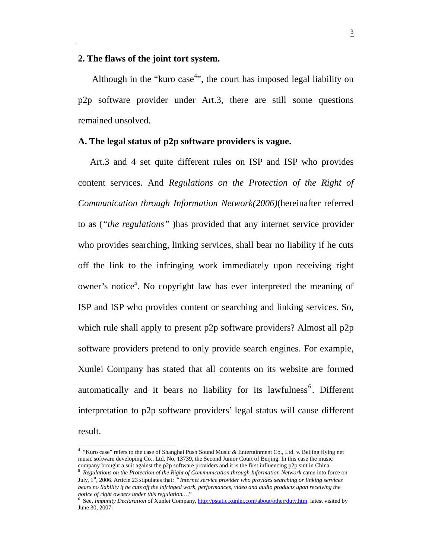## **2. The flaws of the joint tort system.**

Although in the "kuro case<sup>4</sup>", the court has imposed legal liability on p2p software provider under Art.3, there are still some questions remained unsolved.

## **A. The legal status of p2p software providers is vague.**

Art.3 and 4 set quite different rules on ISP and ISP who provides content services. And *Regulations on the Protection of the Right of Communication through Information Network(2006)*(hereinafter referred to as (*"the regulations"* )has provided that any internet service provider who provides searching, linking services, shall bear no liability if he cuts off the link to the infringing work immediately upon receiving right owner's notice<sup>5</sup>. No copyright law has ever interpreted the meaning of ISP and ISP who provides content or searching and linking services. So, which rule shall apply to present p2p software providers? Almost all p2p software providers pretend to only provide search engines. For example, Xunlei Company has stated that all contents on its website are formed automatically and it bears no liability for its lawfulness<sup>6</sup>. Different interpretation to p2p software providers' legal status will cause different result.

<sup>4</sup> "Kuro case" refers to the case of Shanghai Push Sound Music & Entertainment Co., Ltd. v. Beijing flying net music software developing Co., Ltd, No, 13739, the Second Junior Court of Beijing. In this case the music company brought a suit against the p2p software providers and it is the first influencing p2p suit in China.<br><sup>5</sup> *Regulations on the Protection of the Right of Communication through Information Network* came into force on

July, 1st, 2006. Article 23 stipulates that:"*Internet service provider who provides searching or linking services bears no liability if he cuts off the infringed work, performances, video and audio products upon receiving the notice of right owners under this regulation….*" 6

See, *Impunity Declaration* of Xunlei Company, http://pstatic.xunlei.com/about/other/duty.htm, latest visited by June 30, 2007.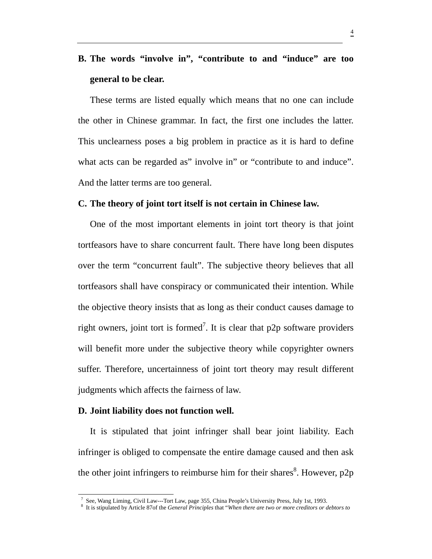# **B. The words "involve in", "contribute to and "induce" are too general to be clear.**

These terms are listed equally which means that no one can include the other in Chinese grammar. In fact, the first one includes the latter. This unclearness poses a big problem in practice as it is hard to define what acts can be regarded as" involve in" or "contribute to and induce". And the latter terms are too general.

#### **C. The theory of joint tort itself is not certain in Chinese law.**

One of the most important elements in joint tort theory is that joint tortfeasors have to share concurrent fault. There have long been disputes over the term "concurrent fault". The subjective theory believes that all tortfeasors shall have conspiracy or communicated their intention. While the objective theory insists that as long as their conduct causes damage to right owners, joint tort is formed<sup>7</sup>. It is clear that  $p2p$  software providers will benefit more under the subjective theory while copyrighter owners suffer. Therefore, uncertainness of joint tort theory may result different judgments which affects the fairness of law.

#### **D. Joint liability does not function well.**

 $\overline{a}$ 

It is stipulated that joint infringer shall bear joint liability. Each infringer is obliged to compensate the entire damage caused and then ask the other joint infringers to reimburse him for their shares<sup>8</sup>. However,  $p2p$ 

<sup>&</sup>lt;sup>7</sup> See, Wang Liming, Civil Law---Tort Law, page 355, China People's University Press, July 1st, 1993.

<sup>8</sup> It is stipulated by Article 87of the *General Principles* that "*When there are two or more creditors or debtors to*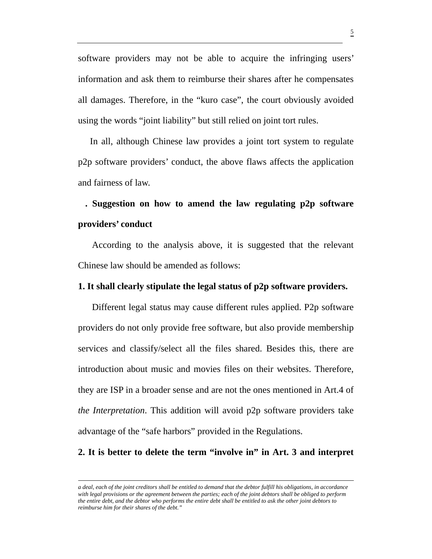software providers may not be able to acquire the infringing users' information and ask them to reimburse their shares after he compensates all damages. Therefore, in the "kuro case", the court obviously avoided using the words "joint liability" but still relied on joint tort rules.

In all, although Chinese law provides a joint tort system to regulate p2p software providers' conduct, the above flaws affects the application and fairness of law.

## **. Suggestion on how to amend the law regulating p2p software providers' conduct**

According to the analysis above, it is suggested that the relevant Chinese law should be amended as follows:

### **1. It shall clearly stipulate the legal status of p2p software providers.**

Different legal status may cause different rules applied. P2p software providers do not only provide free software, but also provide membership services and classify/select all the files shared. Besides this, there are introduction about music and movies files on their websites. Therefore, they are ISP in a broader sense and are not the ones mentioned in Art.4 of *the Interpretation*. This addition will avoid p2p software providers take advantage of the "safe harbors" provided in the Regulations.

### **2. It is better to delete the term "involve in" in Art. 3 and interpret**

*a deal, each of the joint creditors shall be entitled to demand that the debtor fulfill his obligations, in accordance with legal provisions or the agreement between the parties; each of the joint debtors shall be obliged to perform the entire debt, and the debtor who performs the entire debt shall be entitled to ask the other joint debtors to reimburse him for their shares of the debt."*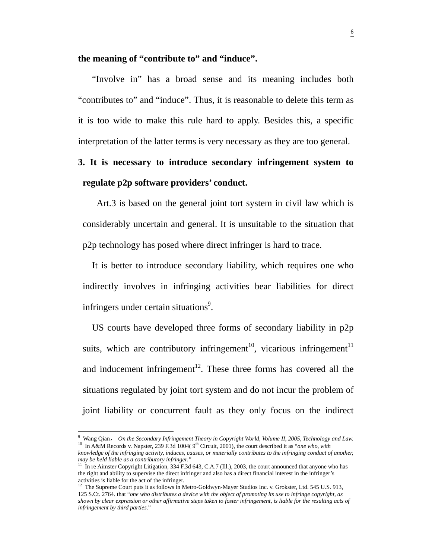#### **the meaning of "contribute to" and "induce".**

"Involve in" has a broad sense and its meaning includes both "contributes to" and "induce". Thus, it is reasonable to delete this term as it is too wide to make this rule hard to apply. Besides this, a specific interpretation of the latter terms is very necessary as they are too general.

# **3. It is necessary to introduce secondary infringement system to regulate p2p software providers' conduct.**

Art.3 is based on the general joint tort system in civil law which is considerably uncertain and general. It is unsuitable to the situation that p2p technology has posed where direct infringer is hard to trace.

It is better to introduce secondary liability, which requires one who indirectly involves in infringing activities bear liabilities for direct infringers under certain situations<sup>9</sup>.

US courts have developed three forms of secondary liability in p2p suits, which are contributory infringement<sup>10</sup>, vicarious infringement<sup>11</sup> and inducement infringement<sup>12</sup>. These three forms has covered all the situations regulated by joint tort system and do not incur the problem of joint liability or concurrent fault as they only focus on the indirect

<sup>9</sup> Wang Qian, *On the Secondary Infringement Theory in Copyright World, Volume II, 2005, Technology and Law.* <sup>10</sup> In A&M Records v. Napster, 239 F.3d 1004( 9<sup>th</sup> Circuit, 2001), the court described it as "*one who, with knowledge of the infringing activity, induces, causes, or materially contributes to the infringing conduct of another, may be held liable as a contributory infringer."* 

<sup>&</sup>lt;sup>11</sup> In re Aimster Copyright Litigation, 334 F.3d 643, C.A.7 (Ill.), 2003, the court announced that anyone who has the right and ability to supervise the direct infringer and also has a direct financial interest in the infringer's activities is liable for the act of the infringer.

<sup>&</sup>lt;sup>12</sup> The Supreme Court puts it as follows in Metro-Goldwyn-Mayer Studios Inc. v. Grokster, Ltd. 545 U.S. 913, 125 S.Ct. 2764. that "*one who distributes a device with the object of promoting its use to infringe copyright, as shown by clear expression or other affirmative steps taken to foster infringement, is liable for the resulting acts of infringement by third parties*."